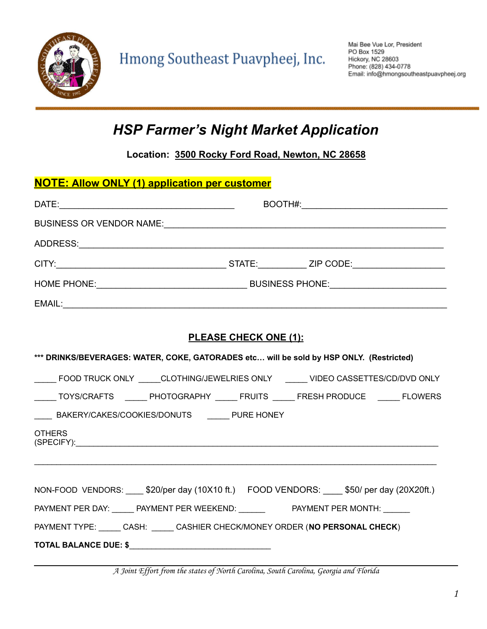

### *HSP Farmer's Night Market Application*

**Location: 3500 Rocky Ford Road, Newton, NC 28658**

| <b>NOTE: Allow ONLY (1) application per customer</b>                                                                 |  |  |  |
|----------------------------------------------------------------------------------------------------------------------|--|--|--|
|                                                                                                                      |  |  |  |
|                                                                                                                      |  |  |  |
|                                                                                                                      |  |  |  |
|                                                                                                                      |  |  |  |
|                                                                                                                      |  |  |  |
| EMAIL:                                                                                                               |  |  |  |
|                                                                                                                      |  |  |  |
| <b>PLEASE CHECK ONE (1):</b>                                                                                         |  |  |  |
| *** DRINKS/BEVERAGES: WATER, COKE, GATORADES etc will be sold by HSP ONLY. (Restricted)                              |  |  |  |
| _____ FOOD TRUCK ONLY _____CLOTHING/JEWELRIES ONLY ______ VIDEO CASSETTES/CD/DVD ONLY                                |  |  |  |
| _____TOYS/CRAFTS _______ PHOTOGRAPHY ______ FRUITS ______ FRESH PRODUCE ______ FLOWERS                               |  |  |  |
| ____ BAKERY/CAKES/COOKIES/DONUTS _____ PURE HONEY                                                                    |  |  |  |
| <b>OTHERS</b><br>(SPECIFY): www.astronometer.com/www.astronometer.com/www.astronometer.com/www.astronometer.com/www. |  |  |  |
|                                                                                                                      |  |  |  |
| NON-FOOD VENDORS: ____ \$20/per day (10X10 ft.) FOOD VENDORS: ____ \$50/ per day (20X20ft.)                          |  |  |  |
| PAYMENT PER DAY: ______ PAYMENT PER WEEKEND: _______ PAYMENT PER MONTH: ______                                       |  |  |  |
| PAYMENT TYPE: CASH: CASH: CASHIER CHECK/MONEY ORDER (NO PERSONAL CHECK)                                              |  |  |  |
|                                                                                                                      |  |  |  |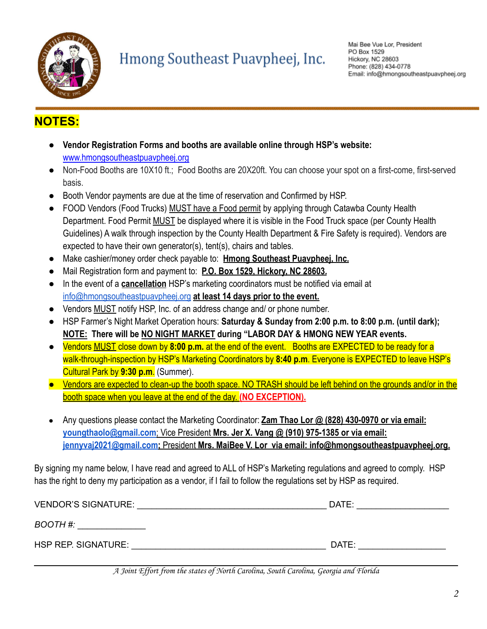

# Hmong Southeast Puavpheej, Inc.

#### **NOTES:**

- **Vendor Registration Forms and booths are available online through HSP's website:** www.hmongsoutheastpuavpheej.org
- Non-Food Booths are 10X10 ft.; Food Booths are 20X20ft. You can choose your spot on a first-come, first-served basis.
- Booth Vendor payments are due at the time of reservation and Confirmed by HSP.
- FOOD Vendors (Food Trucks) MUST have a Food permit by applying through Catawba County Health Department. Food Permit MUST be displayed where it is visible in the Food Truck space (per County Health Guidelines) A walk through inspection by the County Health Department & Fire Safety is required). Vendors are expected to have their own generator(s), tent(s), chairs and tables.
- Make cashier/money order check payable to: **Hmong Southeast Puavpheej, Inc.**
- Mail Registration form and payment to: **P.O. Box 1529, Hickory, NC 28603.**
- In the event of a **cancellation** HSP's marketing coordinators must be notified via email at [info@hmongsoutheastpuavpheej.org](mailto:info@hmongsoutheastpuavpheej.org) **at least 14 days prior to the event.**
- Vendors MUST notify HSP, Inc. of an address change and/ or phone number.
- HSP Farmer's Night Market Operation hours: **Saturday & Sunday from 2:00 p.m. to 8:00 p.m. (until dark); NOTE: There will be NO NIGHT MARKET during "LABOR DAY & HMONG NEW YEAR events.**
- Vendors MUST close down by **8:00 p.m.** at the end of the event. Booths are EXPECTED to be ready for a walk-through-inspection by HSP's Marketing Coordinators by **8:40 p.m**. Everyone is EXPECTED to leave HSP's Cultural Park by **9:30 p.m**. (Summer).
- Vendors are expected to clean-up the booth space. NO TRASH should be left behind on the grounds and/or in the booth space when you leave at the end of the day. **(NO EXCEPTION).**
- Any questions please contact the Marketing Coordinator: **Zam Thao Lor @ (828) 430-0970 or via email: [youngthaolo@gmail.com](mailto:youngthaolo@gmail.com)**; Vice President **Mrs. Jer X. Vang @ (910) 975-1385 or via email: [jennyvaj2021@gmail.com;](mailto:jennyvaj2021@gmail.com)** President **Mrs. MaiBee V. Lor via email: info@hmongsoutheastpuavpheej.org.**

By signing my name below, I have read and agreed to ALL of HSP's Marketing regulations and agreed to comply. HSP has the right to deny my participation as a vendor, if I fail to follow the regulations set by HSP as required.

| <b>VENDOR'S SIGNATURE:</b> | DATE: |
|----------------------------|-------|
| BOOTH #:                   |       |
|                            |       |
| HSP REP. SIGNATURE:        | DATE: |

A Joint Effort from the states of North Carolina, South Carolina, Georgia and Florida